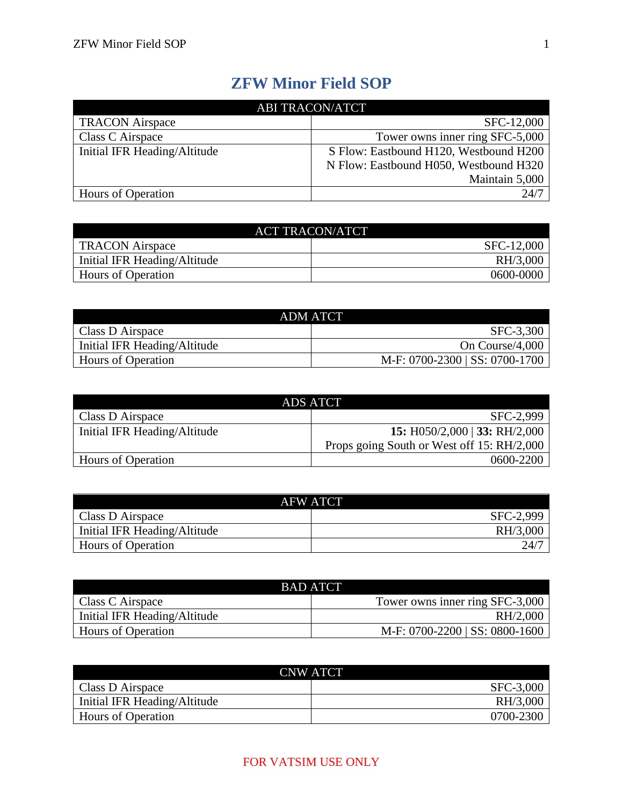#### **ZFW Minor Field SOP**

| <b>ABI TRACON/ATCT</b>       |                                        |
|------------------------------|----------------------------------------|
| <b>TRACON</b> Airspace       | SFC-12,000                             |
| Class C Airspace             | Tower owns inner ring SFC-5,000        |
| Initial IFR Heading/Altitude | S Flow: Eastbound H120, Westbound H200 |
|                              | N Flow: Eastbound H050, Westbound H320 |
|                              | Maintain 5,000                         |
| Hours of Operation           | 24/7                                   |

| <b>ACT TRACON/ATCT</b>       |            |
|------------------------------|------------|
| <b>TRACON Airspace</b>       | SFC-12,000 |
| Initial IFR Heading/Altitude | RH/3,000   |
| <b>Hours of Operation</b>    | 0600-0000  |

| ADM ATCT                     |                                |
|------------------------------|--------------------------------|
| Class D Airspace             | SFC-3,300                      |
| Initial IFR Heading/Altitude | On Course/4,000                |
| Hours of Operation           | M-F: 0700-2300   SS: 0700-1700 |

| ADS ATCT                     |                                            |
|------------------------------|--------------------------------------------|
| Class D Airspace             | SFC-2.999                                  |
| Initial IFR Heading/Altitude | 15: $H050/2,000$   33: RH $/2,000$         |
|                              | Props going South or West off 15: RH/2,000 |
| Hours of Operation           | 0600-2200                                  |

| <b>AFW ATCT</b>              |           |
|------------------------------|-----------|
| <b>Class D Airspace</b>      | SFC-2,999 |
| Initial IFR Heading/Altitude | RH/3,000  |
| <b>Hours of Operation</b>    | 24/7      |

| <b>BAD ATCT</b>              |                                    |
|------------------------------|------------------------------------|
| Class C Airspace             | Tower owns inner ring SFC-3,000    |
| Initial IFR Heading/Altitude | RH/2,000                           |
| Hours of Operation           | M-F: $0700 - 2200$   SS: 0800-1600 |

| <b>CNW ATCT</b>              |           |
|------------------------------|-----------|
| Class D Airspace             | SFC-3,000 |
| Initial IFR Heading/Altitude | RH/3,000  |
| Hours of Operation           | 0700-2300 |

#### FOR VATSIM USE ONLY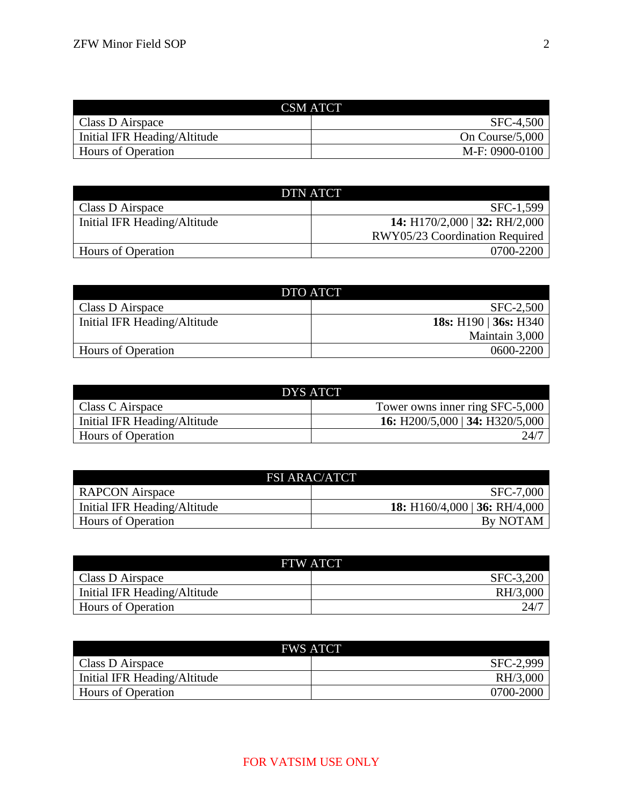| CSM ATCT                     |                 |
|------------------------------|-----------------|
| Class D Airspace             | SFC-4,500       |
| Initial IFR Heading/Altitude | On Course/5,000 |
| <b>Hours of Operation</b>    | M-F: 0900-0100  |

| DTN ATCT                     |                                |
|------------------------------|--------------------------------|
| Class D Airspace             | SFC-1,599                      |
| Initial IFR Heading/Altitude | 14: H170/2,000   32: RH/2,000  |
|                              | RWY05/23 Coordination Required |
| <b>Hours of Operation</b>    | 0700-2200                      |

| DTO ATCT                     |                          |
|------------------------------|--------------------------|
| Class D Airspace             | SFC-2,500                |
| Initial IFR Heading/Altitude | 18s: $H190   36s$ : H340 |
|                              | Maintain 3,000           |
| Hours of Operation           | 0600-2200                |

| DYS ATCT                     |                                 |
|------------------------------|---------------------------------|
| Class C Airspace             | Tower owns inner ring SFC-5,000 |
| Initial IFR Heading/Altitude | 16: H200/5,000   34: H320/5,000 |
| <b>Hours of Operation</b>    | 24/7                            |

| <b>FSI ARAC/ATCT</b>         |                                     |
|------------------------------|-------------------------------------|
| <b>RAPCON</b> Airspace       | SFC-7,000                           |
| Initial IFR Heading/Altitude | 18: H $160/4,000$   36: RH $/4,000$ |
| Hours of Operation           | By NOTAM                            |

| <b>FTW ATCT</b>              |           |
|------------------------------|-----------|
| Class D Airspace             | SFC-3,200 |
| Initial IFR Heading/Altitude | RH/3,000  |
| Hours of Operation           | 24/       |

| <b>FWS ATCT</b>              |           |
|------------------------------|-----------|
| Class D Airspace             | SFC-2,999 |
| Initial IFR Heading/Altitude | RH/3,000  |
| Hours of Operation           | 0700-2000 |

#### FOR VATSIM USE ONLY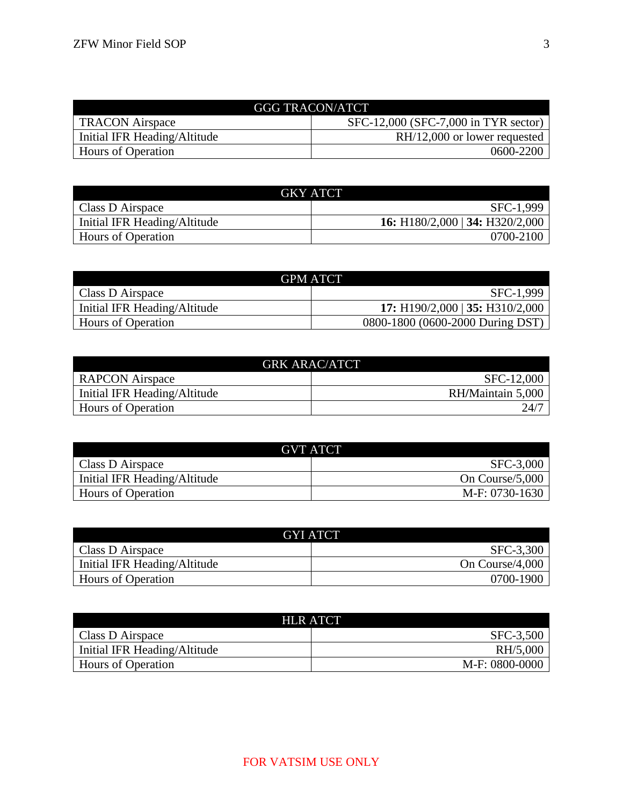| <b>GGG TRACON/ATCT</b>       |                                           |
|------------------------------|-------------------------------------------|
| <b>TRACON</b> Airspace       | $SFC-12,000$ ( $SFC-7,000$ in TYR sector) |
| Initial IFR Heading/Altitude | RH/12,000 or lower requested              |
| <b>Hours of Operation</b>    | 0600-2200                                 |

| <b>GKY ATCT</b>              |                                       |
|------------------------------|---------------------------------------|
| Class D Airspace             | SFC-1,999                             |
| Initial IFR Heading/Altitude | 16: H $180/2,000$   34: H $320/2,000$ |
| Hours of Operation           | 0700-2100                             |

| <b>GPM ATCT</b>              |                                  |
|------------------------------|----------------------------------|
| Class D Airspace             | SFC-1,999                        |
| Initial IFR Heading/Altitude | 17: H190/2,000   35: H310/2,000  |
| <b>Hours of Operation</b>    | 0800-1800 (0600-2000 During DST) |

| <b>GRK ARAC/ATCT</b>         |                   |
|------------------------------|-------------------|
| <b>RAPCON</b> Airspace       | SFC-12,000        |
| Initial IFR Heading/Altitude | RH/Maintain 5,000 |
| <b>Hours of Operation</b>    | 24/7              |

| GVT ATCT                     |                 |
|------------------------------|-----------------|
| Class D Airspace             | SFC-3,000       |
| Initial IFR Heading/Altitude | On Course/5,000 |
| Hours of Operation           | M-F: 0730-1630  |

| <b>GYI ATCT</b>              |                 |
|------------------------------|-----------------|
| Class D Airspace             | SFC-3,300       |
| Initial IFR Heading/Altitude | On Course/4,000 |
| <b>Hours of Operation</b>    | 0700-1900       |

| <b>HLR ATCT</b>              |                |
|------------------------------|----------------|
| Class D Airspace             | SFC-3,500      |
| Initial IFR Heading/Altitude | RH/5,000       |
| <b>Hours of Operation</b>    | M-F: 0800-0000 |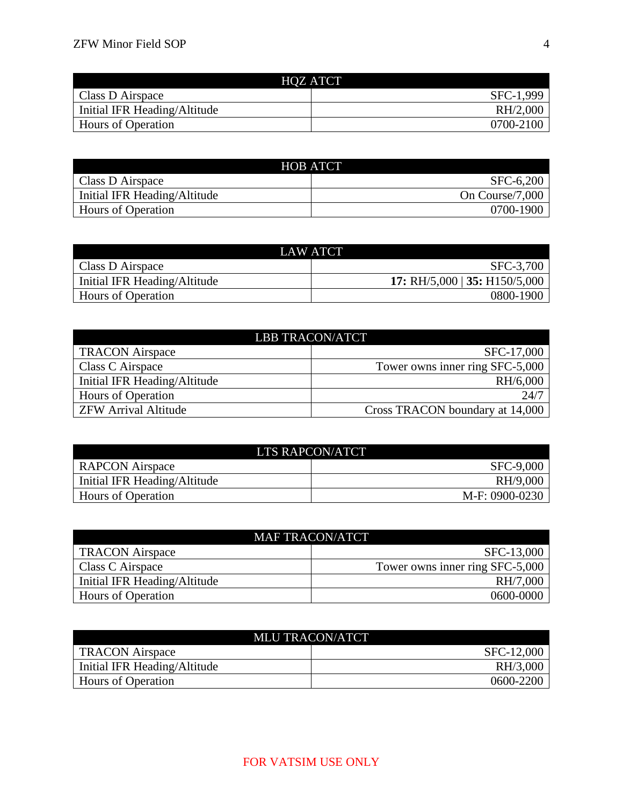| <b>HOZ ATCT</b>              |           |
|------------------------------|-----------|
| Class D Airspace             | SFC-1,999 |
| Initial IFR Heading/Altitude | RH/2,000  |
| Hours of Operation           | 0700-2100 |

| <b>HOB ATCT</b>              |                 |
|------------------------------|-----------------|
| Class D Airspace             | SFC-6,200       |
| Initial IFR Heading/Altitude | On Course/7,000 |
| Hours of Operation           | 0700-1900       |

| <b>LAW ATCT</b>              |                               |
|------------------------------|-------------------------------|
| Class D Airspace             | SFC-3,700                     |
| Initial IFR Heading/Altitude | 17: RH/5,000   35: H150/5,000 |
| <b>Hours of Operation</b>    | 0800-1900                     |

| <b>LBB TRACON/ATCT</b>       |                                 |
|------------------------------|---------------------------------|
| <b>TRACON</b> Airspace       | SFC-17,000                      |
| Class C Airspace             | Tower owns inner ring SFC-5,000 |
| Initial IFR Heading/Altitude | RH/6,000                        |
| Hours of Operation           | 24/7                            |
| <b>ZFW Arrival Altitude</b>  | Cross TRACON boundary at 14,000 |

| LTS RAPCON/ATCT              |                |
|------------------------------|----------------|
| <b>RAPCON</b> Airspace       | SFC-9,000      |
| Initial IFR Heading/Altitude | RH/9,000       |
| Hours of Operation           | M-F: 0900-0230 |

| <b>MAF TRACON/ATCT</b>       |                                 |
|------------------------------|---------------------------------|
| <b>TRACON</b> Airspace       | SFC-13,000                      |
| Class C Airspace             | Tower owns inner ring SFC-5,000 |
| Initial IFR Heading/Altitude | RH/7,000                        |
| Hours of Operation           | 0600-0000                       |

| <b>MLU TRACON/ATCT</b>       |            |
|------------------------------|------------|
| <b>TRACON</b> Airspace       | SFC-12,000 |
| Initial IFR Heading/Altitude | RH/3,000   |
| Hours of Operation           | 0600-2200  |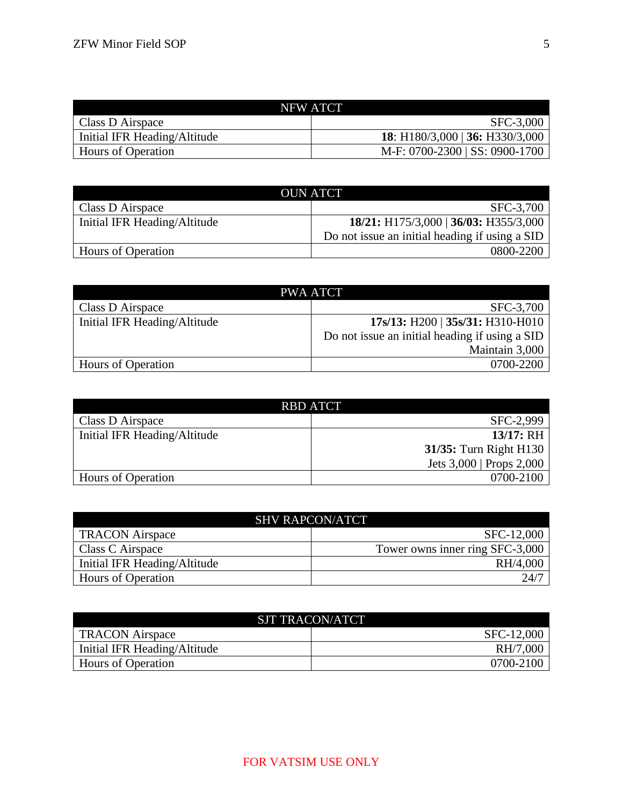| NFW ATCT                     |                                                |
|------------------------------|------------------------------------------------|
| Class D Airspace             | SFC-3,000                                      |
| Initial IFR Heading/Altitude | <b>18</b> : H180/3,000   <b>36:</b> H330/3,000 |
| Hours of Operation           | M-F: 0700-2300   SS: 0900-1700                 |

| <b>OUN ATCT</b>              |                                                |
|------------------------------|------------------------------------------------|
| Class D Airspace             | SFC-3,700                                      |
| Initial IFR Heading/Altitude | 18/21: H175/3,000   36/03: H355/3,000          |
|                              | Do not issue an initial heading if using a SID |
| Hours of Operation           | 0800-2200                                      |

| PWA ATCT                     |                                                |
|------------------------------|------------------------------------------------|
| Class D Airspace             | SFC-3,700                                      |
| Initial IFR Heading/Altitude | $17s/13$ : H200   35s/31: H310-H010            |
|                              | Do not issue an initial heading if using a SID |
|                              | Maintain 3,000                                 |
| Hours of Operation           | 0700-2200                                      |

| <b>RBD ATCT</b>              |                               |
|------------------------------|-------------------------------|
| Class D Airspace             | SFC-2,999                     |
| Initial IFR Heading/Altitude | $13/17:$ RH                   |
|                              | <b>31/35:</b> Turn Right H130 |
|                              | Jets $3,000$   Props $2,000$  |
| <b>Hours of Operation</b>    | 0700-2100                     |

| <b>SHV RAPCON/ATCT</b>       |                                 |
|------------------------------|---------------------------------|
| <b>TRACON</b> Airspace       | SFC-12,000                      |
| Class C Airspace             | Tower owns inner ring SFC-3,000 |
| Initial IFR Heading/Altitude | RH/4,000                        |
| Hours of Operation           | 24/7                            |

| <b>SJT TRACON/ATCT</b>       |            |
|------------------------------|------------|
| <b>TRACON</b> Airspace       | SFC-12,000 |
| Initial IFR Heading/Altitude | RH/7,000   |
| Hours of Operation           | 0700-2100  |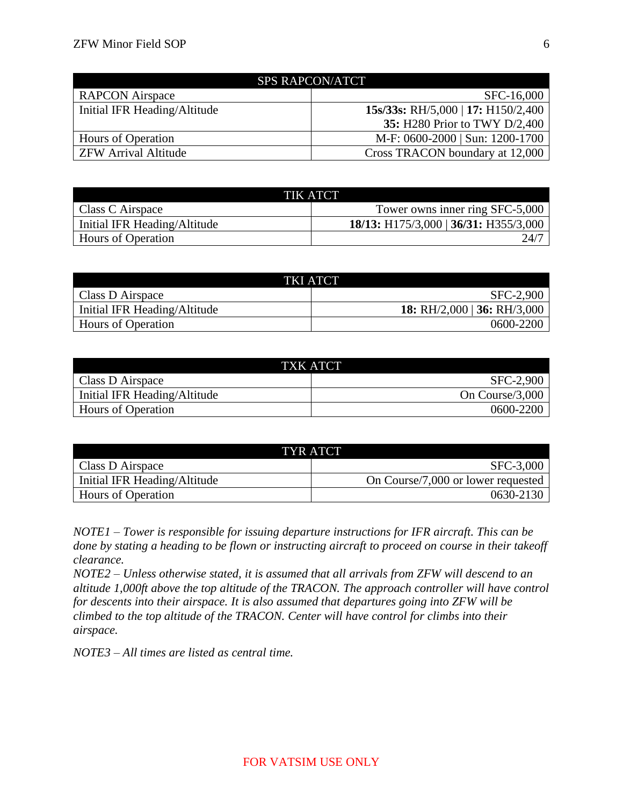| <b>SPS RAPCON/ATCT</b>       |                                      |
|------------------------------|--------------------------------------|
| <b>RAPCON</b> Airspace       | SFC-16,000                           |
| Initial IFR Heading/Altitude | 15s/33s: RH/5,000   17: H150/2,400   |
|                              | <b>35:</b> H280 Prior to TWY D/2,400 |
| Hours of Operation           | M-F: $0600-2000$   Sun: 1200-1700    |
| <b>ZFW Arrival Altitude</b>  | Cross TRACON boundary at 12,000      |

| TIK ATCT                     |                                                     |
|------------------------------|-----------------------------------------------------|
| Class C Airspace             | Tower owns inner ring SFC-5,000                     |
| Initial IFR Heading/Altitude | <b>18/13:</b> H175/3,000   <b>36/31:</b> H355/3,000 |
| Hours of Operation           | 24/7                                                |

| TKI ATCT                     |                             |
|------------------------------|-----------------------------|
| Class D Airspace             | SFC-2,900                   |
| Initial IFR Heading/Altitude | 18: RH/2,000   36: RH/3,000 |
| <b>Hours of Operation</b>    | 0600-2200                   |

| TXK ATCT                     |                 |
|------------------------------|-----------------|
| Class D Airspace             | SFC-2,900       |
| Initial IFR Heading/Altitude | On Course/3,000 |
| <b>Hours of Operation</b>    | 0600-2200       |

| TYR ATCT                     |                                    |
|------------------------------|------------------------------------|
| Class D Airspace             | SFC-3,000                          |
| Initial IFR Heading/Altitude | On Course/7,000 or lower requested |
| <b>Hours of Operation</b>    | 0630-2130                          |

*NOTE1 – Tower is responsible for issuing departure instructions for IFR aircraft. This can be done by stating a heading to be flown or instructing aircraft to proceed on course in their takeoff clearance.*

*NOTE2 – Unless otherwise stated, it is assumed that all arrivals from ZFW will descend to an altitude 1,000ft above the top altitude of the TRACON. The approach controller will have control for descents into their airspace. It is also assumed that departures going into ZFW will be climbed to the top altitude of the TRACON. Center will have control for climbs into their airspace.*

*NOTE3 – All times are listed as central time.*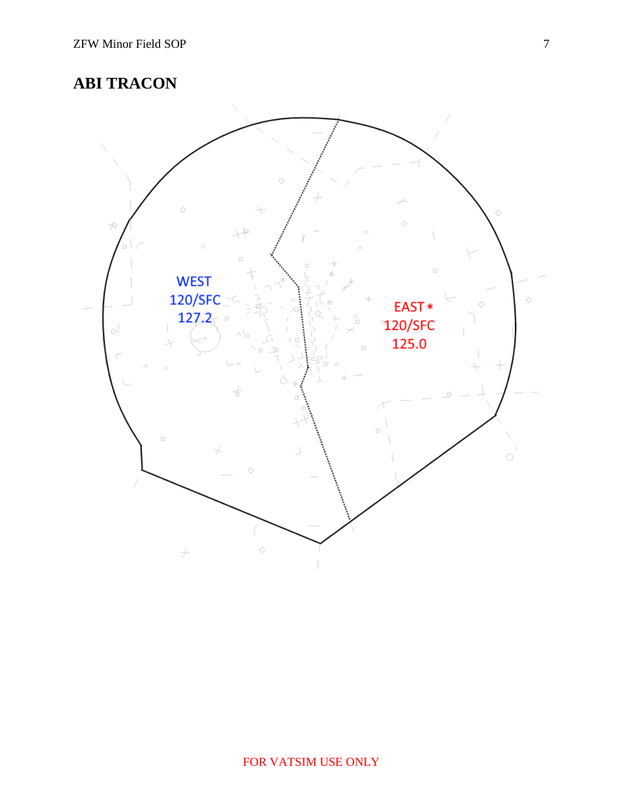### **ABI TRACON**

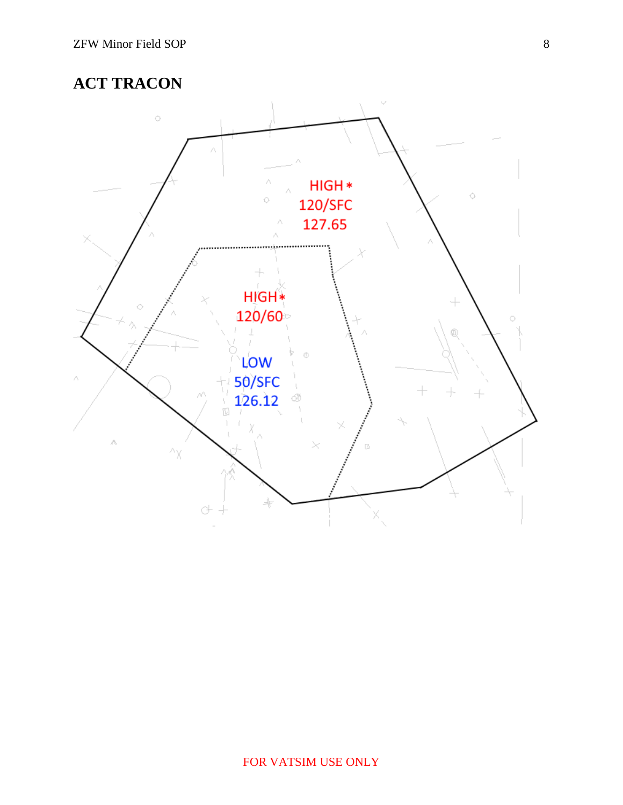## **ACT TRACON**

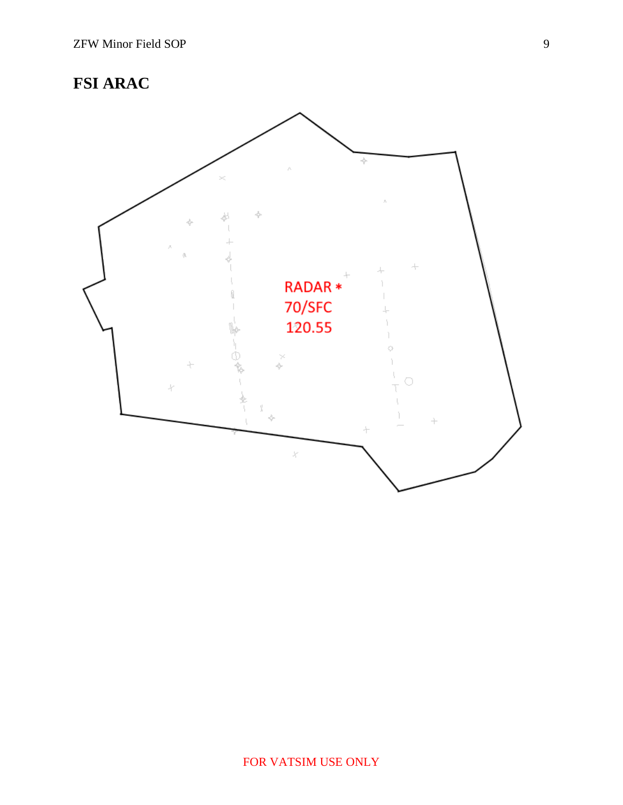# **FSI ARAC**

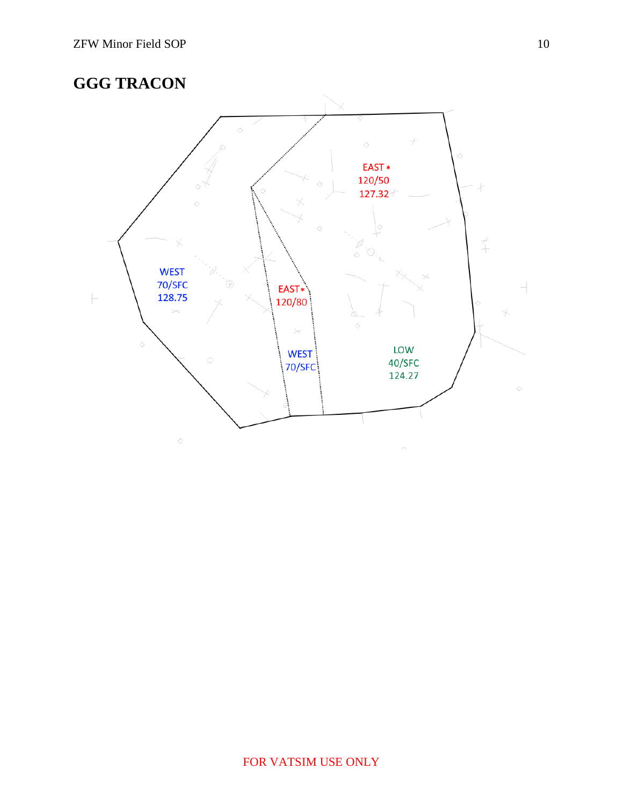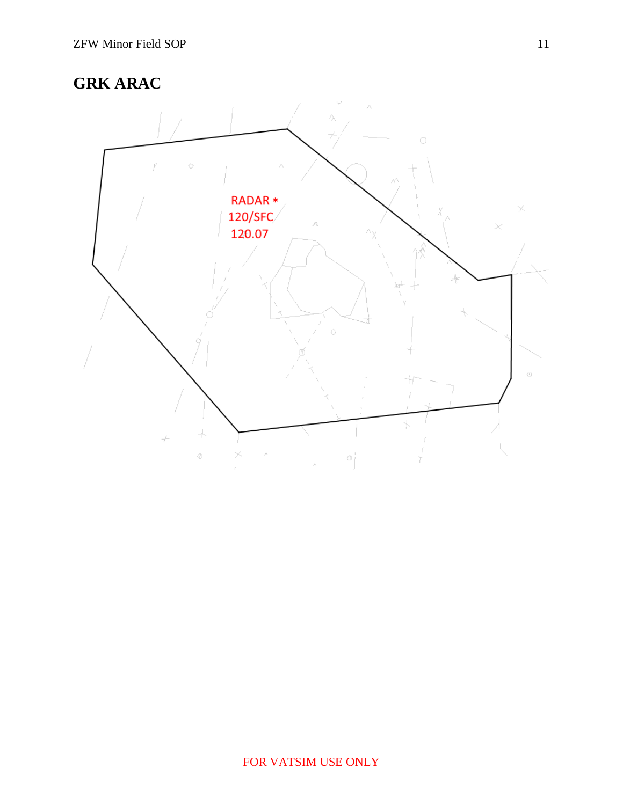### **GRK ARAC**

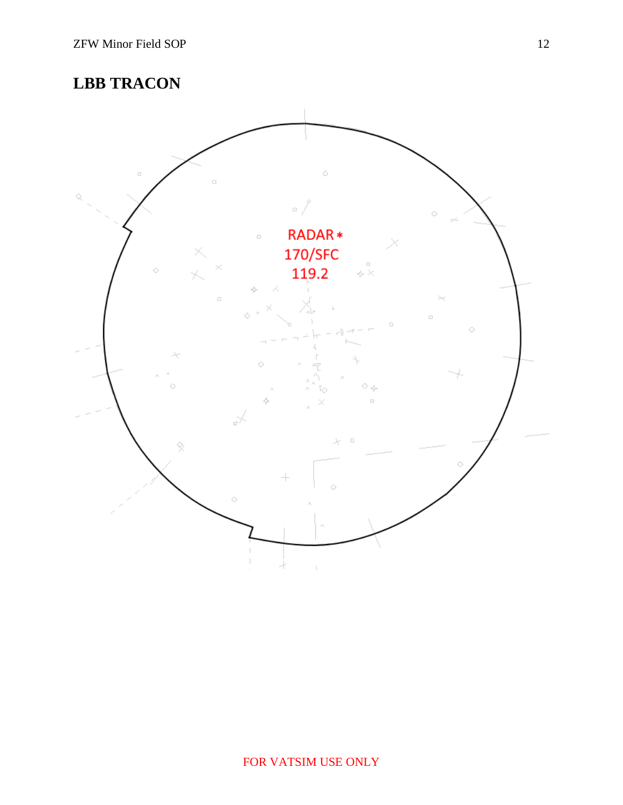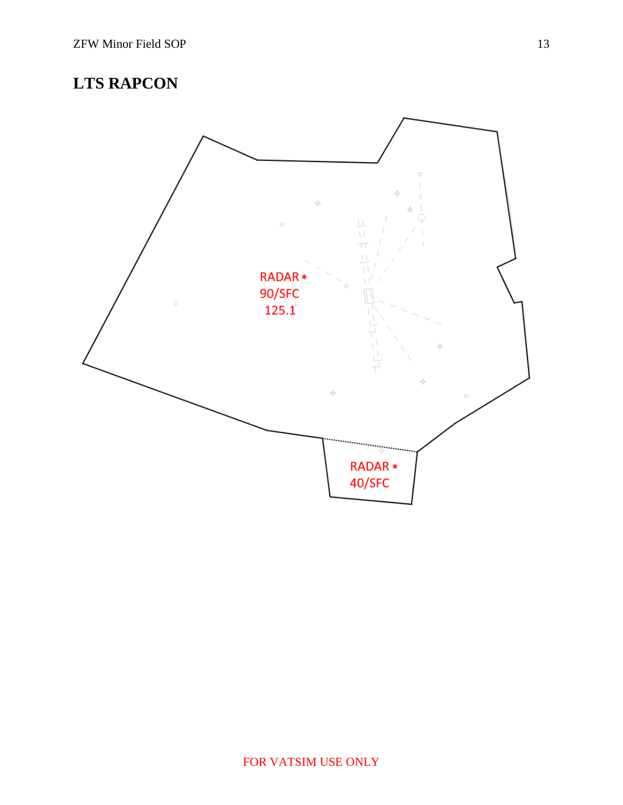### **LTS RAPCON**

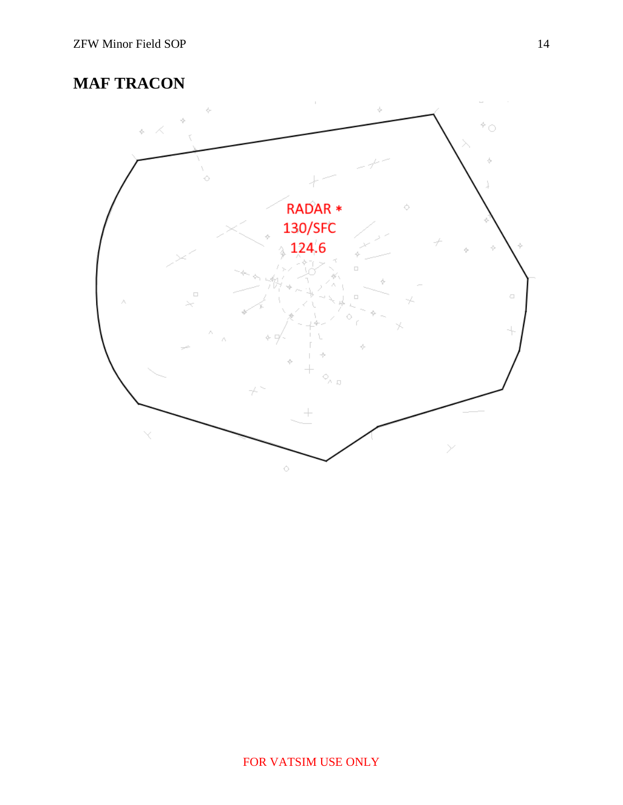### **MAF TRACON**

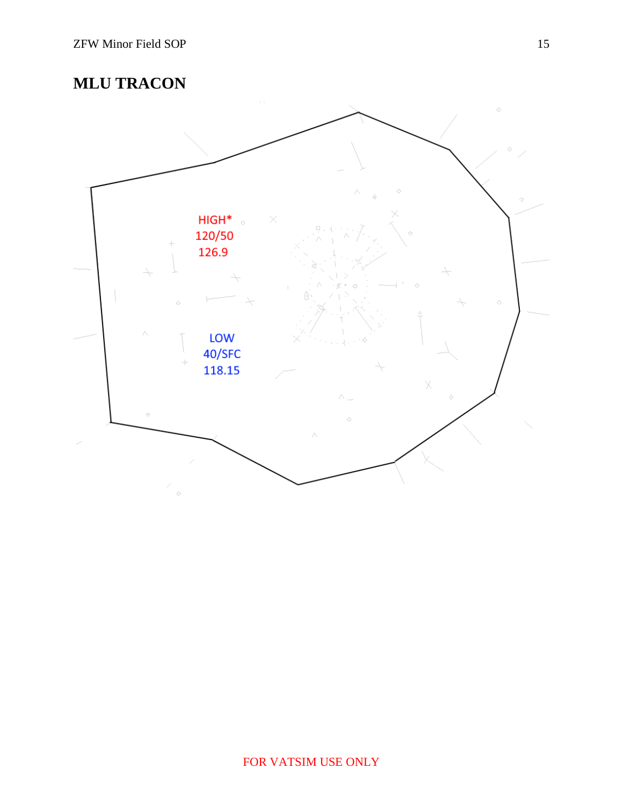### **MLU TRACON**

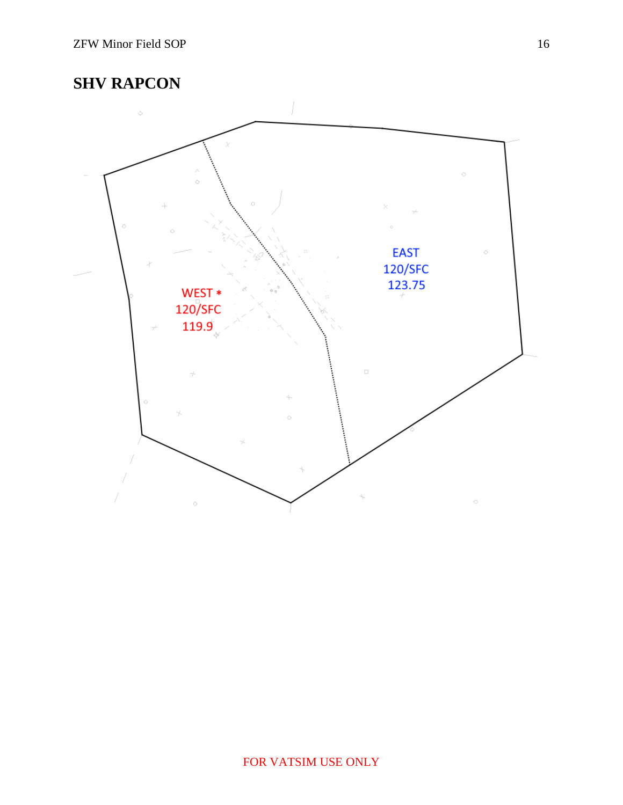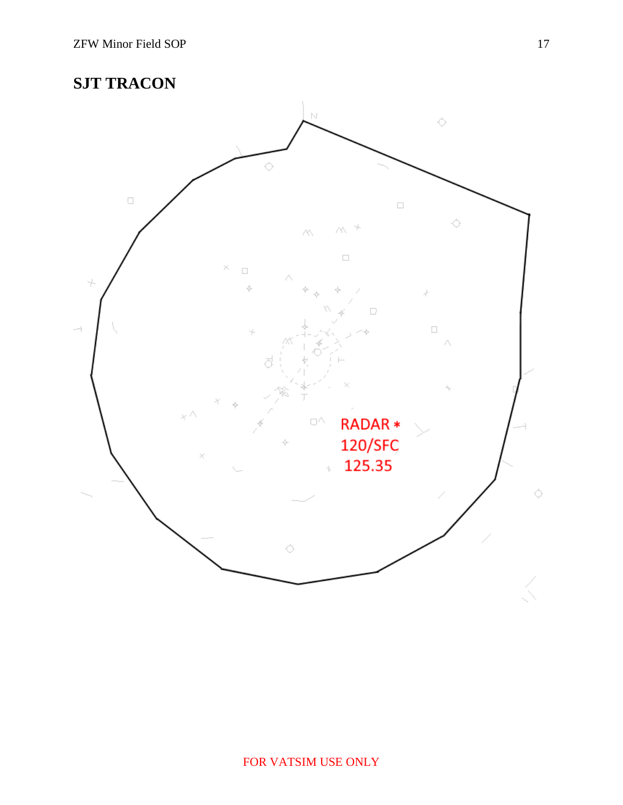# **SJT TRACON**  $\mathbb N$  $\Diamond$ ♦  $\Box$  $\Box$  $\Diamond$ Y. ΛŊ W  $\Box$  $\Box$ Ÿ.  $\Box$  $\Box$ Δ  $\Box^\wedge$ **RADAR\*** 120/SFC 125.35 q.  $\bar{\Diamond}$  $\Diamond$